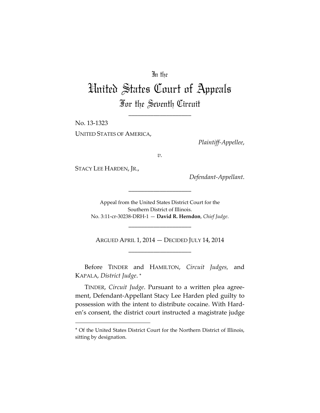## In the

# United States Court of Appeals For the Seventh Circuit

\_\_\_\_\_\_\_\_\_\_\_\_\_\_\_\_\_\_\_\_

No. 13-1323 UNITED STATES OF AMERICA,

*Plaintiff-Appellee*,

*v.*

STACY LEE HARDEN, JR.,

 $\overline{a}$ 

*Defendant-Appellant*.

Appeal from the United States District Court for the Southern District of Illinois. No. 3:11-cr-30238-DRH-1 — **David R. Herndon**, *Chief Judge*.

\_\_\_\_\_\_\_\_\_\_\_\_\_\_\_\_\_\_\_\_

\_\_\_\_\_\_\_\_\_\_\_\_\_\_\_\_\_\_\_\_

ARGUED APRIL 1, 2014 — DECIDED JULY 14, 2014 \_\_\_\_\_\_\_\_\_\_\_\_\_\_\_\_\_\_\_\_

Before TINDER and HAMILTON, *Circuit Judges,* and KAPALA, *District Judge*. [∗](#page-0-0)

TINDER, *Circuit Judge*. Pursuant to a written plea agreement, Defendant-Appellant Stacy Lee Harden pled guilty to possession with the intent to distribute cocaine. With Harden's consent, the district court instructed a magistrate judge

<span id="page-0-0"></span><sup>∗</sup> Of the United States District Court for the Northern District of Illinois, sitting by designation.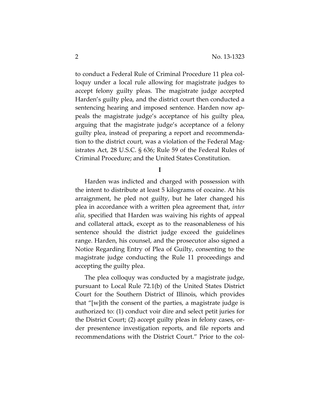to conduct a Federal Rule of Criminal Procedure 11 plea colloquy under a local rule allowing for magistrate judges to accept felony guilty pleas. The magistrate judge accepted Harden's guilty plea, and the district court then conducted a sentencing hearing and imposed sentence. Harden now appeals the magistrate judge's acceptance of his guilty plea, arguing that the magistrate judge's acceptance of a felony guilty plea, instead of preparing a report and recommendation to the district court, was a violation of the Federal Magistrates Act, 28 U.S.C. § 636; Rule 59 of the Federal Rules of Criminal Procedure; and the United States Constitution.

**I**

Harden was indicted and charged with possession with the intent to distribute at least 5 kilograms of cocaine. At his arraignment, he pled not guilty, but he later changed his plea in accordance with a written plea agreement that, *inter alia*, specified that Harden was waiving his rights of appeal and collateral attack, except as to the reasonableness of his sentence should the district judge exceed the guidelines range. Harden, his counsel, and the prosecutor also signed a Notice Regarding Entry of Plea of Guilty, consenting to the magistrate judge conducting the Rule 11 proceedings and accepting the guilty plea.

The plea colloquy was conducted by a magistrate judge, pursuant to Local Rule 72.1(b) of the United States District Court for the Southern District of Illinois, which provides that "[w]ith the consent of the parties, a magistrate judge is authorized to: (1) conduct voir dire and select petit juries for the District Court; (2) accept guilty pleas in felony cases, order presentence investigation reports, and file reports and recommendations with the District Court." Prior to the col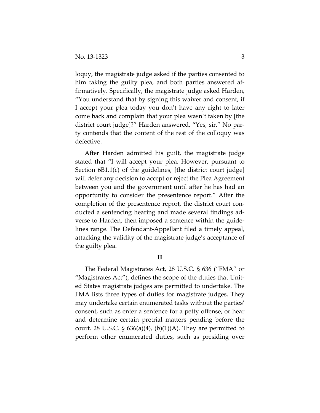loquy, the magistrate judge asked if the parties consented to him taking the guilty plea, and both parties answered affirmatively. Specifically, the magistrate judge asked Harden, "You understand that by signing this waiver and consent, if I accept your plea today you don't have any right to later come back and complain that your plea wasn't taken by [the district court judge]?" Harden answered, "Yes, sir." No party contends that the content of the rest of the colloquy was defective.

After Harden admitted his guilt, the magistrate judge stated that "I will accept your plea. However, pursuant to Section 6B1.1(c) of the guidelines, [the district court judge] will defer any decision to accept or reject the Plea Agreement between you and the government until after he has had an opportunity to consider the presentence report." After the completion of the presentence report, the district court conducted a sentencing hearing and made several findings adverse to Harden, then imposed a sentence within the guidelines range. The Defendant-Appellant filed a timely appeal, attacking the validity of the magistrate judge's acceptance of the guilty plea.

### **II**

The Federal Magistrates Act, 28 U.S.C. § 636 ("FMA" or "Magistrates Act"), defines the scope of the duties that United States magistrate judges are permitted to undertake. The FMA lists three types of duties for magistrate judges. They may undertake certain enumerated tasks without the parties' consent, such as enter a sentence for a petty offense, or hear and determine certain pretrial matters pending before the court. 28 U.S.C.  $\S$  636(a)(4), (b)(1)(A). They are permitted to perform other enumerated duties, such as presiding over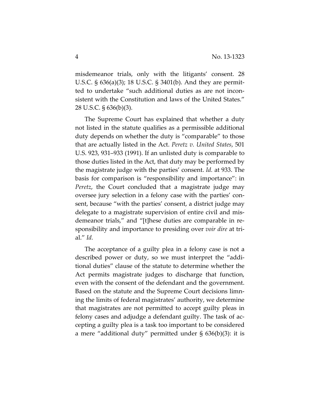misdemeanor trials, only with the litigants' consent. 28 U.S.C. § 636(a)(3); 18 U.S.C. § 3401(b). And they are permitted to undertake "such additional duties as are not inconsistent with the Constitution and laws of the United States." 28 U.S.C. § 636(b)(3).

The Supreme Court has explained that whether a duty not listed in the statute qualifies as a permissible additional duty depends on whether the duty is "comparable" to those that are actually listed in the Act. *Peretz v. United States*, 501 U.S. 923, 931–933 (1991). If an unlisted duty is comparable to those duties listed in the Act, that duty may be performed by the magistrate judge with the parties' consent. *Id.* at 933. The basis for comparison is "responsibility and importance": in *Peretz*, the Court concluded that a magistrate judge may oversee jury selection in a felony case with the parties' consent, because "with the parties' consent, a district judge may delegate to a magistrate supervision of entire civil and misdemeanor trials," and "[t]hese duties are comparable in responsibility and importance to presiding over *voir dire* at trial." *Id.*

The acceptance of a guilty plea in a felony case is not a described power or duty, so we must interpret the "additional duties" clause of the statute to determine whether the Act permits magistrate judges to discharge that function, even with the consent of the defendant and the government. Based on the statute and the Supreme Court decisions limning the limits of federal magistrates' authority, we determine that magistrates are not permitted to accept guilty pleas in felony cases and adjudge a defendant guilty. The task of accepting a guilty plea is a task too important to be considered a mere "additional duty" permitted under § 636(b)(3): it is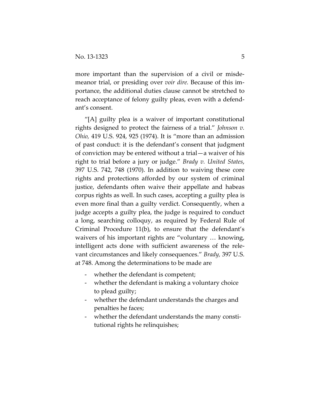more important than the supervision of a civil or misdemeanor trial, or presiding over *voir dire.* Because of this importance, the additional duties clause cannot be stretched to reach acceptance of felony guilty pleas, even with a defendant's consent.

"[A] guilty plea is a waiver of important constitutional rights designed to protect the fairness of a trial." *Johnson v. Ohio,* 419 U.S. 924, 925 (1974). It is "more than an admission of past conduct: it is the defendant's consent that judgment of conviction may be entered without a trial—a waiver of his right to trial before a jury or judge." *Brady v. United States*, 397 U.S. 742, 748 (1970). In addition to waiving these core rights and protections afforded by our system of criminal justice, defendants often waive their appellate and habeas corpus rights as well. In such cases, accepting a guilty plea is even more final than a guilty verdict. Consequently, when a judge accepts a guilty plea, the judge is required to conduct a long, searching colloquy, as required by Federal Rule of Criminal Procedure 11(b), to ensure that the defendant's waivers of his important rights are "voluntary … knowing, intelligent acts done with sufficient awareness of the relevant circumstances and likely consequences." *Brady,* 397 U.S. at 748. Among the determinations to be made are

- whether the defendant is competent;
- whether the defendant is making a voluntary choice to plead guilty;
- whether the defendant understands the charges and penalties he faces;
- whether the defendant understands the many constitutional rights he relinquishes;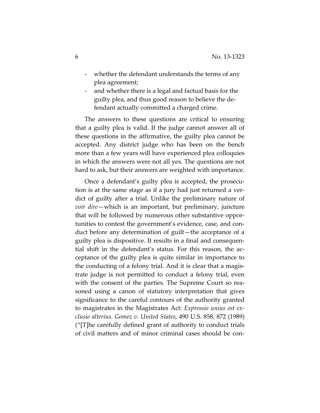- whether the defendant understands the terms of any plea agreement;
- and whether there is a legal and factual basis for the guilty plea, and thus good reason to believe the defendant actually committed a charged crime.

The answers to these questions are critical to ensuring that a guilty plea is valid. If the judge cannot answer all of these questions in the affirmative, the guilty plea cannot be accepted. Any district judge who has been on the bench more than a few years will have experienced plea colloquies in which the answers were not all yes. The questions are not hard to ask, but their answers are weighted with importance.

Once a defendant's guilty plea is accepted, the prosecution is at the same stage as if a jury had just returned a verdict of guilty after a trial. Unlike the preliminary nature of *voir dire*—which is an important, but preliminary, juncture that will be followed by numerous other substantive opportunities to contest the government's evidence, case, and conduct before any determination of guilt—the acceptance of a guilty plea is dispositive. It results in a final and consequential shift in the defendant's status. For this reason, the acceptance of the guilty plea is quite similar in importance to the conducting of a felony trial. And it is clear that a magistrate judge is not permitted to conduct a felony trial, even with the consent of the parties. The Supreme Court so reasoned using a canon of statutory interpretation that gives significance to the careful contours of the authority granted to magistrates in the Magistrates Act: *Expressio unius est exclusio alterius*. *Gomez v. United States*, 490 U.S. 858, 872 (1989) ("[T]he carefully defined grant of authority to conduct trials of civil matters and of minor criminal cases should be con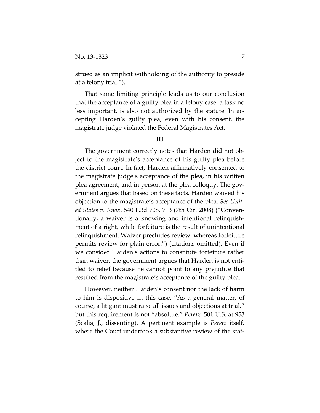strued as an implicit withholding of the authority to preside at a felony trial.").

That same limiting principle leads us to our conclusion that the acceptance of a guilty plea in a felony case, a task no less important, is also not authorized by the statute. In accepting Harden's guilty plea, even with his consent, the magistrate judge violated the Federal Magistrates Act.

#### **III**

The government correctly notes that Harden did not object to the magistrate's acceptance of his guilty plea before the district court. In fact, Harden affirmatively consented to the magistrate judge's acceptance of the plea, in his written plea agreement, and in person at the plea colloquy. The government argues that based on these facts, Harden waived his objection to the magistrate's acceptance of the plea. *See United States v. Knox*, 540 F.3d 708, 713 (7th Cir. 2008) ("Conventionally, a waiver is a knowing and intentional relinquishment of a right, while forfeiture is the result of unintentional relinquishment. Waiver precludes review, whereas forfeiture permits review for plain error.") (citations omitted). Even if we consider Harden's actions to constitute forfeiture rather than waiver, the government argues that Harden is not entitled to relief because he cannot point to any prejudice that resulted from the magistrate's acceptance of the guilty plea.

However, neither Harden's consent nor the lack of harm to him is dispositive in this case. "As a general matter, of course, a litigant must raise all issues and objections at trial," but this requirement is not "absolute." *Peretz,* 501 U.S. at 953 (Scalia, J., dissenting). A pertinent example is *Peretz* itself, where the Court undertook a substantive review of the stat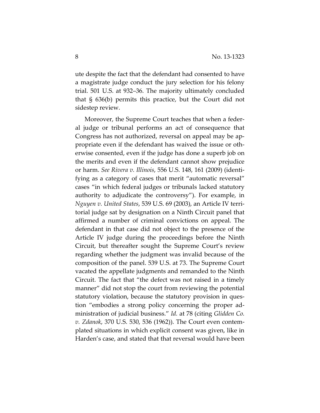ute despite the fact that the defendant had consented to have a magistrate judge conduct the jury selection for his felony trial. 501 U.S. at 932–36. The majority ultimately concluded that § 636(b) permits this practice, but the Court did not sidestep review.

Moreover, the Supreme Court teaches that when a federal judge or tribunal performs an act of consequence that Congress has not authorized, reversal on appeal may be appropriate even if the defendant has waived the issue or otherwise consented, even if the judge has done a superb job on the merits and even if the defendant cannot show prejudice or harm. *See Rivera v. Illinois*, 556 U.S. 148, 161 (2009) (identifying as a category of cases that merit "automatic reversal" cases "in which federal judges or tribunals lacked statutory authority to adjudicate the controversy"). For example, in *Nguyen v. United States*, 539 U.S. 69 (2003), an Article IV territorial judge sat by designation on a Ninth Circuit panel that affirmed a number of criminal convictions on appeal. The defendant in that case did not object to the presence of the Article IV judge during the proceedings before the Ninth Circuit, but thereafter sought the Supreme Court's review regarding whether the judgment was invalid because of the composition of the panel. 539 U.S. at 73. The Supreme Court vacated the appellate judgments and remanded to the Ninth Circuit. The fact that "the defect was not raised in a timely manner" did not stop the court from reviewing the potential statutory violation, because the statutory provision in question "embodies a strong policy concerning the proper administration of judicial business." *Id.* at 78 (citing *Glidden Co. v. Zdanok*, 370 U.S. 530, 536 (1962)). The Court even contemplated situations in which explicit consent was given, like in Harden's case, and stated that that reversal would have been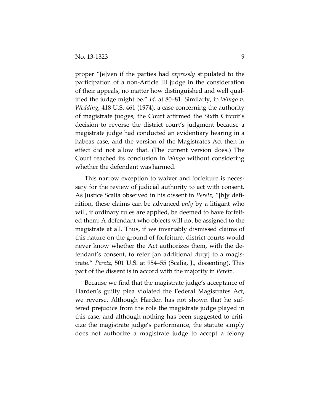proper "[e]ven if the parties had *expressly* stipulated to the participation of a non-Article III judge in the consideration of their appeals, no matter how distinguished and well qualified the judge might be." *Id.* at 80–81. Similarly, in *Wingo v. Wedding*, 418 U.S. 461 (1974), a case concerning the authority of magistrate judges, the Court affirmed the Sixth Circuit's decision to reverse the district court's judgment because a magistrate judge had conducted an evidentiary hearing in a habeas case, and the version of the Magistrates Act then in effect did not allow that. (The current version does.) The Court reached its conclusion in *Wingo* without considering whether the defendant was harmed.

This narrow exception to waiver and forfeiture is necessary for the review of judicial authority to act with consent. As Justice Scalia observed in his dissent in *Peretz*, "[b]y definition, these claims can be advanced *only* by a litigant who will, if ordinary rules are applied, be deemed to have forfeited them: A defendant who objects will not be assigned to the magistrate at all. Thus, if we invariably dismissed claims of this nature on the ground of forfeiture, district courts would never know whether the Act authorizes them, with the defendant's consent, to refer [an additional duty] to a magistrate." *Peretz*, 501 U.S. at 954–55 (Scalia, J., dissenting). This part of the dissent is in accord with the majority in *Peretz*.

Because we find that the magistrate judge's acceptance of Harden's guilty plea violated the Federal Magistrates Act, we reverse. Although Harden has not shown that he suffered prejudice from the role the magistrate judge played in this case, and although nothing has been suggested to criticize the magistrate judge's performance, the statute simply does not authorize a magistrate judge to accept a felony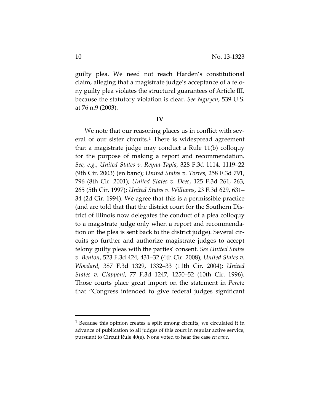guilty plea. We need not reach Harden's constitutional claim, alleging that a magistrate judge's acceptance of a felony guilty plea violates the structural guarantees of Article III, because the statutory violation is clear. *See Nguyen*, 539 U.S. at 76 n.9 (2003).

#### **IV**

We note that our reasoning places us in conflict with sev-eral of our sister circuits.<sup>[1](#page-9-0)</sup> There is widespread agreement that a magistrate judge may conduct a Rule 11(b) colloquy for the purpose of making a report and recommendation. *See, e.g.*, *United States v. Reyna-Tapia*, 328 F.3d 1114, 1119–22 (9th Cir. 2003) (en banc); *United States v. Torres*, 258 F.3d 791, 796 (8th Cir. 2001); *United States v. Dees*, 125 F.3d 261, 263, 265 (5th Cir. 1997); *United States v. Williams*, 23 F.3d 629, 631– 34 (2d Cir. 1994). We agree that this is a permissible practice (and are told that that the district court for the Southern District of Illinois now delegates the conduct of a plea colloquy to a magistrate judge only when a report and recommendation on the plea is sent back to the district judge). Several circuits go further and authorize magistrate judges to accept felony guilty pleas with the parties' consent. *See United States v. Benton*, 523 F.3d 424, 431–32 (4th Cir. 2008); *United States v. Woodard*, 387 F.3d 1329, 1332–33 (11th Cir. 2004); *United States v. Ciapponi*, 77 F.3d 1247, 1250–52 (10th Cir. 1996). Those courts place great import on the statement in *Peretz* that "Congress intended to give federal judges significant

<span id="page-9-0"></span> $1$  Because this opinion creates a split among circuits, we circulated it in advance of publication to all judges of this court in regular active service, pursuant to Circuit Rule 40(e). None voted to hear the case *en banc*.